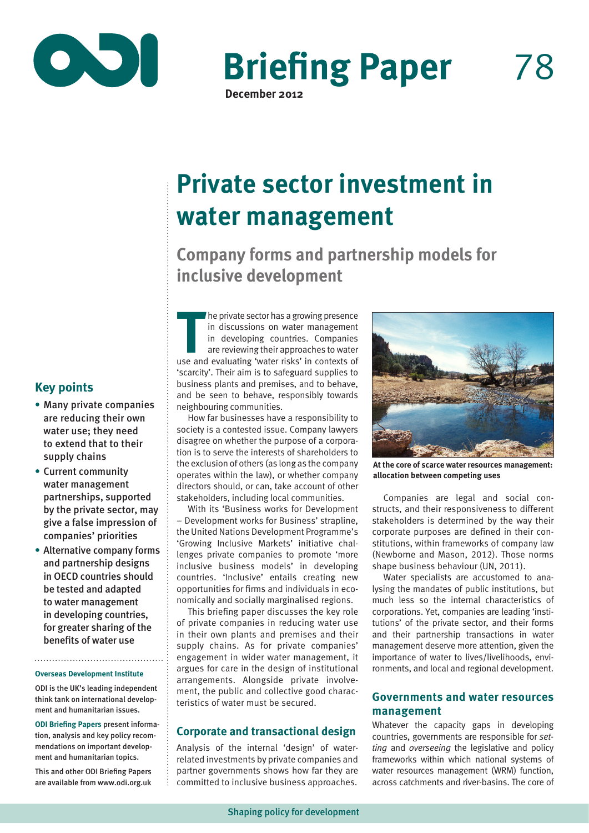

**Briefing Paper** 

**December 2012**

# **Private sector investment in water management**

**Company forms and partnership models for inclusive development**

**THE SECT AS A SET AND THE SET ASSEMBLY THE CONTROVIDED ASSEMBLY THE SET AND APPROXIMATE SHOW AND APPROXIMATE SHOW THAT AND APPROXIMATE USE AND APPROXIMATE USE AND <b>THE SET AND THE SET AND THE SET AND THE SET AS A SET AND** he private sector has a growing presence in discussions on water management in developing countries. Companies are reviewing their approaches to water 'scarcity'. Their aim is to safeguard supplies to business plants and premises, and to behave, and be seen to behave, responsibly towards neighbouring communities.

How far businesses have a responsibility to society is a contested issue. Company lawyers disagree on whether the purpose of a corporation is to serve the interests of shareholders to the exclusion of others (as long as the company operates within the law), or whether company directors should, or can, take account of other stakeholders, including local communities.

With its 'Business works for Development – Development works for Business' strapline, the United Nations Development Programme's 'Growing Inclusive Markets' initiative challenges private companies to promote 'more inclusive business models' in developing countries. 'Inclusive' entails creating new opportunities for firms and individuals in economically and socially marginalised regions.

This briefing paper discusses the key role of private companies in reducing water use in their own plants and premises and their supply chains. As for private companies' engagement in wider water management, it argues for care in the design of institutional arrangements. Alongside private involvement, the public and collective good characteristics of water must be secured.

## **Corporate and transactional design**

Analysis of the internal 'design' of waterrelated investments by private companies and partner governments shows how far they are committed to inclusive business approaches.



**At the core of scarce water resources management: allocation between competing uses**

Companies are legal and social constructs, and their responsiveness to different stakeholders is determined by the way their corporate purposes are defined in their constitutions, within frameworks of company law (Newborne and Mason, 2012). Those norms shape business behaviour (UN, 2011).

Water specialists are accustomed to analysing the mandates of public institutions, but much less so the internal characteristics of corporations. Yet, companies are leading 'institutions' of the private sector, and their forms and their partnership transactions in water management deserve more attention, given the importance of water to lives/livelihoods, environments, and local and regional development.

## **Governments and water resources management**

Whatever the capacity gaps in developing countries, governments are responsible for *setting* and *overseeing* the legislative and policy frameworks within which national systems of water resources management (WRM) function, across catchments and river-basins. The core of

## **Key points**

- **•** Many private companies are reducing their own water use; they need to extend that to their supply chains
- **•** Current community water management partnerships, supported by the private sector, may give a false impression of companies' priorities
- **•** Alternative company forms and partnership designs in OECD countries should be tested and adapted to water management in developing countries, for greater sharing of the benefits of water use

#### **Overseas Development Institute**

ODI is the UK's leading independent think tank on international development and humanitarian issues.

**ODI Briefing Papers** present information, analysis and key policy recommendations on important development and humanitarian topics.

This and other ODI Briefing Papers are available from www.odi.org.uk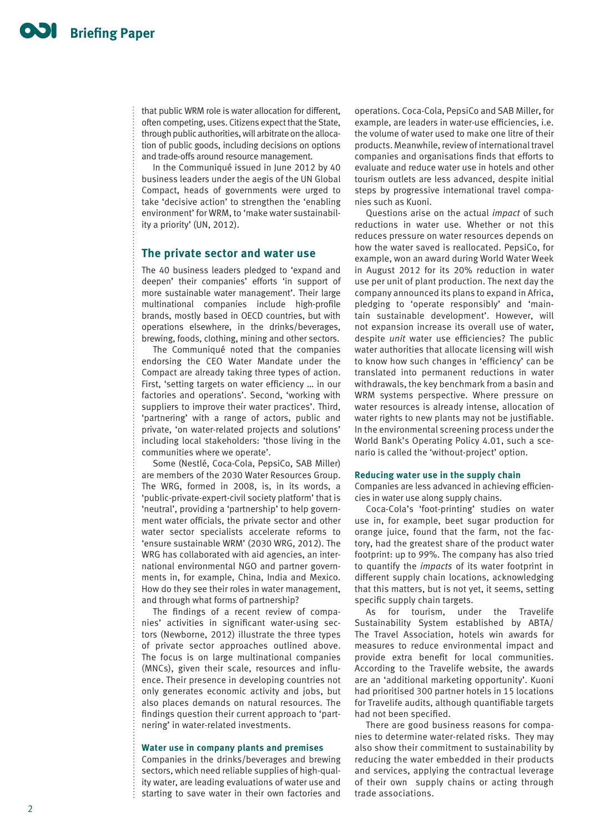that public WRM role is water allocation for different, often competing, uses. Citizens expect that the State, through public authorities, will arbitrate on the allocation of public goods, including decisions on options and trade-offs around resource management.

In the Communiqué issued in June 2012 by 40 business leaders under the aegis of the UN Global Compact, heads of governments were urged to take 'decisive action' to strengthen the 'enabling environment' for WRM, to 'make water sustainability a priority' (UN, 2012).

#### **The private sector and water use**

The 40 business leaders pledged to 'expand and deepen' their companies' efforts 'in support of more sustainable water management'. Their large multinational companies include high-profile brands, mostly based in OECD countries, but with operations elsewhere, in the drinks/beverages, brewing, foods, clothing, mining and other sectors.

The Communiqué noted that the companies endorsing the CEO Water Mandate under the Compact are already taking three types of action. First, 'setting targets on water efficiency … in our factories and operations'. Second, 'working with suppliers to improve their water practices'. Third, 'partnering' with a range of actors, public and private, 'on water-related projects and solutions' including local stakeholders: 'those living in the communities where we operate'.

Some (Nestlé, Coca-Cola, PepsiCo, SAB Miller) are members of the 2030 Water Resources Group. The WRG, formed in 2008, is, in its words, a 'public-private-expert-civil society platform' that is 'neutral', providing a 'partnership' to help government water officials, the private sector and other water sector specialists accelerate reforms to 'ensure sustainable WRM' (2030 WRG, 2012). The WRG has collaborated with aid agencies, an international environmental NGO and partner governments in, for example, China, India and Mexico. How do they see their roles in water management, and through what forms of partnership?

The findings of a recent review of companies' activities in significant water-using sectors (Newborne, 2012) illustrate the three types of private sector approaches outlined above. The focus is on large multinational companies (MNCs), given their scale, resources and influence. Their presence in developing countries not only generates economic activity and jobs, but also places demands on natural resources. The findings question their current approach to 'partnering' in water-related investments.

#### **Water use in company plants and premises**

Companies in the drinks/beverages and brewing sectors, which need reliable supplies of high-quality water, are leading evaluations of water use and starting to save water in their own factories and

operations. Coca-Cola, PepsiCo and SAB Miller, for example, are leaders in water-use efficiencies, i.e. the volume of water used to make one litre of their products. Meanwhile, review of international travel companies and organisations finds that efforts to evaluate and reduce water use in hotels and other tourism outlets are less advanced, despite initial steps by progressive international travel companies such as Kuoni.

Questions arise on the actual *impact* of such reductions in water use. Whether or not this reduces pressure on water resources depends on how the water saved is reallocated. PepsiCo, for example, won an award during World Water Week in August 2012 for its 20% reduction in water use per unit of plant production. The next day the company announced its plans to expand in Africa, pledging to 'operate responsibly' and 'maintain sustainable development'. However, will not expansion increase its overall use of water, despite *unit* water use efficiencies? The public water authorities that allocate licensing will wish to know how such changes in 'efficiency' can be translated into permanent reductions in water withdrawals, the key benchmark from a basin and WRM systems perspective. Where pressure on water resources is already intense, allocation of water rights to new plants may not be justifiable. In the environmental screening process under the World Bank's Operating Policy 4.01, such a scenario is called the 'without-project' option.

#### **Reducing water use in the supply chain**

Companies are less advanced in achieving efficiencies in water use along supply chains.

Coca-Cola's 'foot-printing' studies on water use in, for example, beet sugar production for orange juice, found that the farm, not the factory, had the greatest share of the product water footprint: up to 99%. The company has also tried to quantify the *impacts* of its water footprint in different supply chain locations, acknowledging that this matters, but is not yet, it seems, setting specific supply chain targets.

As for tourism, under the Travelife Sustainability System established by ABTA/ The Travel Association, hotels win awards for measures to reduce environmental impact and provide extra benefit for local communities. According to the Travelife website, the awards are an 'additional marketing opportunity'. Kuoni had prioritised 300 partner hotels in 15 locations for Travelife audits, although quantifiable targets had not been specified.

There are good business reasons for companies to determine water-related risks. They may also show their commitment to sustainability by reducing the water embedded in their products and services, applying the contractual leverage of their own supply chains or acting through trade associations.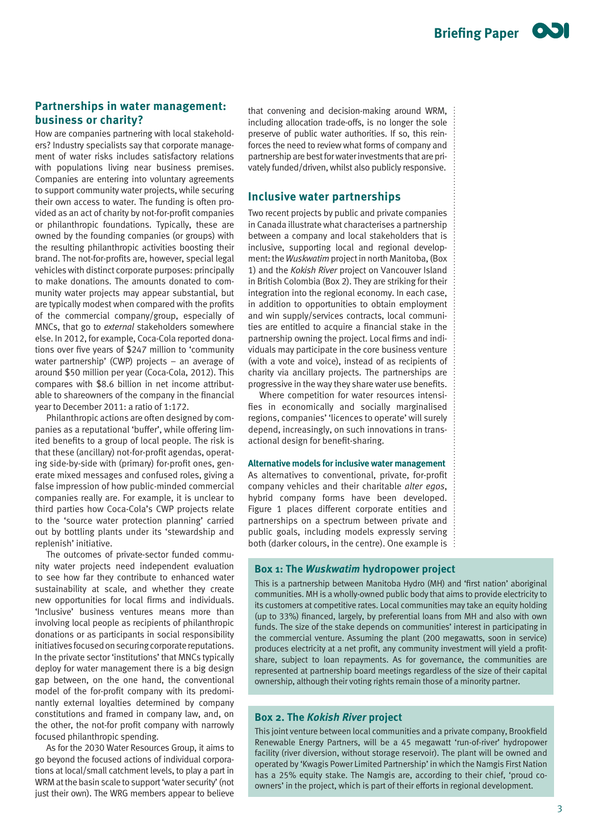## **Partnerships in water management: business or charity?**

How are companies partnering with local stakeholders? Industry specialists say that corporate management of water risks includes satisfactory relations with populations living near business premises. Companies are entering into voluntary agreements to support community water projects, while securing their own access to water. The funding is often provided as an act of charity by not-for-profit companies or philanthropic foundations. Typically, these are owned by the founding companies (or groups) with the resulting philanthropic activities boosting their brand. The not-for-profits are, however, special legal vehicles with distinct corporate purposes: principally to make donations. The amounts donated to community water projects may appear substantial, but are typically modest when compared with the profits of the commercial company/group, especially of MNCs, that go to *external* stakeholders somewhere else. In 2012, for example, Coca-Cola reported donations over five years of \$247 million to 'community water partnership' (CWP) projects – an average of around \$50 million per year (Coca-Cola, 2012). This compares with \$8.6 billion in net income attributable to shareowners of the company in the financial year to December 2011: a ratio of 1:172.

Philanthropic actions are often designed by companies as a reputational 'buffer', while offering limited benefits to a group of local people. The risk is that these (ancillary) not-for-profit agendas, operating side-by-side with (primary) for-profit ones, generate mixed messages and confused roles, giving a false impression of how public-minded commercial companies really are. For example, it is unclear to third parties how Coca-Cola's CWP projects relate to the 'source water protection planning' carried out by bottling plants under its 'stewardship and replenish' initiative.

The outcomes of private-sector funded community water projects need independent evaluation to see how far they contribute to enhanced water sustainability at scale, and whether they create new opportunities for local firms and individuals. 'Inclusive' business ventures means more than involving local people as recipients of philanthropic donations or as participants in social responsibility initiatives focused on securing corporate reputations. In the private sector 'institutions' that MNCs typically deploy for water management there is a big design gap between, on the one hand, the conventional model of the for-profit company with its predominantly external loyalties determined by company constitutions and framed in company law, and, on the other, the not-for profit company with narrowly focused philanthropic spending.

As for the 2030 Water Resources Group, it aims to go beyond the focused actions of individual corporations at local/small catchment levels, to play a part in WRM at the basin scale to support 'water security' (not just their own). The WRG members appear to believe

that convening and decision-making around WRM, including allocation trade-offs, is no longer the sole preserve of public water authorities. If so, this reinforces the need to review what forms of company and partnership are best for water investments that are privately funded/driven, whilst also publicly responsive.

#### **Inclusive water partnerships**

Two recent projects by public and private companies in Canada illustrate what characterises a partnership between a company and local stakeholders that is inclusive, supporting local and regional development: the *Wuskwatim* project in north Manitoba, (Box 1) and the *Kokish River* project on Vancouver Island in British Colombia (Box 2). They are striking for their integration into the regional economy. In each case, in addition to opportunities to obtain employment and win supply/services contracts, local communities are entitled to acquire a financial stake in the partnership owning the project. Local firms and individuals may participate in the core business venture (with a vote and voice), instead of as recipients of charity via ancillary projects. The partnerships are progressive in the way they share water use benefits.

Where competition for water resources intensifies in economically and socially marginalised regions, companies' 'licences to operate' will surely depend, increasingly, on such innovations in transactional design for benefit-sharing.

#### **Alternative models for inclusive water management**

As alternatives to conventional, private, for-profit company vehicles and their charitable *alter egos*, hybrid company forms have been developed. Figure 1 places different corporate entities and partnerships on a spectrum between private and public goals, including models expressly serving both (darker colours, in the centre). One example is

#### **Box 1: The** *Wuskwatim* **hydropower project**

This is a partnership between Manitoba Hydro (MH) and 'first nation' aboriginal communities. MH is a wholly-owned public body that aims to provide electricity to its customers at competitive rates. Local communities may take an equity holding (up to 33%) financed, largely, by preferential loans from MH and also with own funds. The size of the stake depends on communities' interest in participating in the commercial venture. Assuming the plant (200 megawatts, soon in service) produces electricity at a net profit, any community investment will yield a profitshare, subject to loan repayments. As for governance, the communities are represented at partnership board meetings regardless of the size of their capital ownership, although their voting rights remain those of a minority partner.

#### **Box 2. The** *Kokish River* **project**

This joint venture between local communities and a private company, Brookfield Renewable Energy Partners, will be a 45 megawatt 'run-of-river' hydropower facility (river diversion, without storage reservoir). The plant will be owned and operated by 'Kwagis Power Limited Partnership' in which the Namgis First Nation has a 25% equity stake. The Namgis are, according to their chief, 'proud coowners' in the project, which is part of their efforts in regional development.